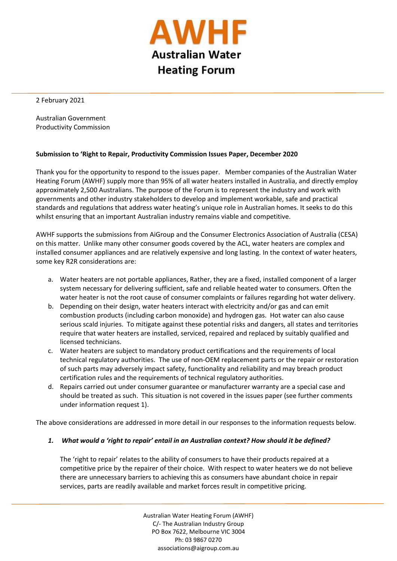

l

2 February 2021

Australian Government Productivity Commission

### **Submission to 'Right to Repair, Productivity Commission Issues Paper, December 2020**

Thank you for the opportunity to respond to the issues paper. Member companies of the Australian Water Heating Forum (AWHF) supply more than 95% of all water heaters installed in Australia, and directly employ approximately 2,500 Australians. The purpose of the Forum is to represent the industry and work with governments and other industry stakeholders to develop and implement workable, safe and practical standards and regulations that address water heating's unique role in Australian homes. It seeks to do this whilst ensuring that an important Australian industry remains viable and competitive.

AWHF supports the submissions from AiGroup and the Consumer Electronics Association of Australia (CESA) on this matter. Unlike many other consumer goods covered by the ACL, water heaters are complex and installed consumer appliances and are relatively expensive and long lasting. In the context of water heaters, some key R2R considerations are:

- a. Water heaters are not portable appliances, Rather, they are a fixed, installed component of a larger system necessary for delivering sufficient, safe and reliable heated water to consumers. Often the water heater is not the root cause of consumer complaints or failures regarding hot water delivery.
- b. Depending on their design, water heaters interact with electricity and/or gas and can emit combustion products (including carbon monoxide) and hydrogen gas. Hot water can also cause serious scald injuries. To mitigate against these potential risks and dangers, all states and territories require that water heaters are installed, serviced, repaired and replaced by suitably qualified and licensed technicians.
- c. Water heaters are subject to mandatory product certifications and the requirements of local technical regulatory authorities. The use of non-OEM replacement parts or the repair or restoration of such parts may adversely impact safety, functionality and reliability and may breach product certification rules and the requirements of technical regulatory authorities.
- d. Repairs carried out under consumer guarantee or manufacturer warranty are a special case and should be treated as such. This situation is not covered in the issues paper (see further comments under information request 1).

The above considerations are addressed in more detail in our responses to the information requests below.

# *1. What would a 'right to repair' entail in an Australian context? How should it be defined?*

The 'right to repair' relates to the ability of consumers to have their products repaired at a competitive price by the repairer of their choice. With respect to water heaters we do not believe there are unnecessary barriers to achieving this as consumers have abundant choice in repair services, parts are readily available and market forces result in competitive pricing.

> Australian Water Heating Forum (AWHF) C/- The Australian Industry Group PO Box 7622, Melbourne VIC 3004 Ph: 03 9867 0270 associations@aigroup.com.au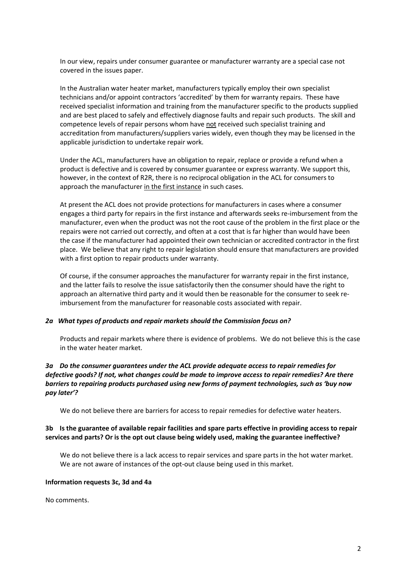In our view, repairs under consumer guarantee or manufacturer warranty are a special case not covered in the issues paper.

In the Australian water heater market, manufacturers typically employ their own specialist technicians and/or appoint contractors 'accredited' by them for warranty repairs. These have received specialist information and training from the manufacturer specific to the products supplied and are best placed to safely and effectively diagnose faults and repair such products. The skill and competence levels of repair persons whom have not received such specialist training and accreditation from manufacturers/suppliers varies widely, even though they may be licensed in the applicable jurisdiction to undertake repair work.

Under the ACL, manufacturers have an obligation to repair, replace or provide a refund when a product is defective and is covered by consumer guarantee or express warranty. We support this, however, in the context of R2R, there is no reciprocal obligation in the ACL for consumers to approach the manufacturer in the first instance in such cases.

At present the ACL does not provide protections for manufacturers in cases where a consumer engages a third party for repairs in the first instance and afterwards seeks re-imbursement from the manufacturer, even when the product was not the root cause of the problem in the first place or the repairs were not carried out correctly, and often at a cost that is far higher than would have been the case if the manufacturer had appointed their own technician or accredited contractor in the first place. We believe that any right to repair legislation should ensure that manufacturers are provided with a first option to repair products under warranty.

Of course, if the consumer approaches the manufacturer for warranty repair in the first instance, and the latter fails to resolve the issue satisfactorily then the consumer should have the right to approach an alternative third party and it would then be reasonable for the consumer to seek reimbursement from the manufacturer for reasonable costs associated with repair.

#### *2a What types of products and repair markets should the Commission focus on?*

Products and repair markets where there is evidence of problems. We do not believe this is the case in the water heater market.

# *3a Do the consumer guarantees under the ACL provide adequate access to repair remedies for defective goods? If not, what changes could be made to improve access to repair remedies? Are there barriers to repairing products purchased using new forms of payment technologies, such as 'buy now pay later'?*

We do not believe there are barriers for access to repair remedies for defective water heaters.

### **3b Is the guarantee of available repair facilities and spare parts effective in providing access to repair services and parts? Or is the opt out clause being widely used, making the guarantee ineffective?**

We do not believe there is a lack access to repair services and spare parts in the hot water market. We are not aware of instances of the opt-out clause being used in this market.

#### **Information requests 3c, 3d and 4a**

No comments.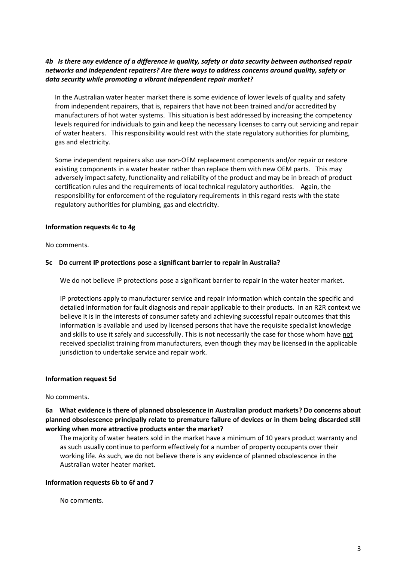# *4b Is there any evidence of a difference in quality, safety or data security between authorised repair networks and independent repairers? Are there ways to address concerns around quality, safety or data security while promoting a vibrant independent repair market?*

In the Australian water heater market there is some evidence of lower levels of quality and safety from independent repairers, that is, repairers that have not been trained and/or accredited by manufacturers of hot water systems. This situation is best addressed by increasing the competency levels required for individuals to gain and keep the necessary licenses to carry out servicing and repair of water heaters. This responsibility would rest with the state regulatory authorities for plumbing, gas and electricity.

Some independent repairers also use non-OEM replacement components and/or repair or restore existing components in a water heater rather than replace them with new OEM parts. This may adversely impact safety, functionality and reliability of the product and may be in breach of product certification rules and the requirements of local technical regulatory authorities. Again, the responsibility for enforcement of the regulatory requirements in this regard rests with the state regulatory authorities for plumbing, gas and electricity.

### **Information requests 4c to 4g**

No comments.

### **5c Do current IP protections pose a significant barrier to repair in Australia?**

We do not believe IP protections pose a significant barrier to repair in the water heater market.

IP protections apply to manufacturer service and repair information which contain the specific and detailed information for fault diagnosis and repair applicable to their products. In an R2R context we believe it is in the interests of consumer safety and achieving successful repair outcomes that this information is available and used by licensed persons that have the requisite specialist knowledge and skills to use it safely and successfully. This is not necessarily the case for those whom have not received specialist training from manufacturers, even though they may be licensed in the applicable jurisdiction to undertake service and repair work.

# **Information request 5d**

#### No comments.

**6a What evidence is there of planned obsolescence in Australian product markets? Do concerns about planned obsolescence principally relate to premature failure of devices or in them being discarded still working when more attractive products enter the market?**

The majority of water heaters sold in the market have a minimum of 10 years product warranty and as such usually continue to perform effectively for a number of property occupants over their working life. As such, we do not believe there is any evidence of planned obsolescence in the Australian water heater market.

#### **Information requests 6b to 6f and 7**

No comments.